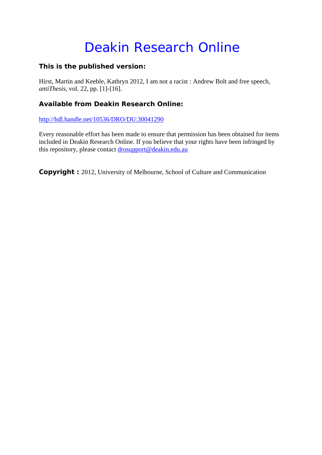# Deakin Research Online

#### **This is the published version:**

Hirst, Martin and Keeble, Kathryn 2012, I am not a racist : Andrew Bolt and free speech*, antiThesis*, vol. 22, pp. [1]-[16].

## **Available from Deakin Research Online:**

http://hdl.handle.net/10536/DRO/DU:30041290

Every reasonable effort has been made to ensure that permission has been obtained for items included in Deakin Research Online. If you believe that your rights have been infringed by this repository, please contact drosupport@deakin.edu.au

**Copyright** : 2012, University of Melbourne, School of Culture and Communication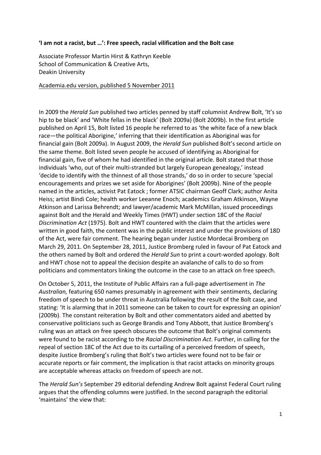#### 'I am not a racist, but ...': Free speech, racial vilification and the Bolt case

Associate Professor Martin Hirst & Kathryn Keeble School of Communication & Creative Arts, Deakin University

#### Academia.edu version, published 5 November 2011

In 2009 the *Herald Sun* published two articles penned by staff columnist Andrew Bolt, 'It's so hip to be black' and 'White fellas in the black' (Bolt 2009a) (Bolt 2009b). In the first article published on April 15, Bolt listed 16 people he referred to as 'the white face of a new black race—the political Aborigine,' inferring that their identification as Aboriginal was for financial gain (Bolt 2009a). In August 2009, the *Herald Sun* published Bolt's second article on the same theme. Bolt listed seven people he accused of identifying as Aboriginal for financial gain, five of whom he had identified in the original article. Bolt stated that those individuals 'who, out of their multi-stranded but largely European genealogy,' instead 'decide to identify with the thinnest of all those strands,' do so in order to secure 'special encouragements and prizes we set aside for Aborigines' (Bolt 2009b). Nine of the people named in the articles, activist Pat Eatock ; former ATSIC chairman Geoff Clark; author Anita Heiss; artist Bindi Cole; health worker Leeanne Enoch; academics Graham Atkinson, Wayne Atkinson and Larissa Behrendt; and lawyer/academic Mark McMillan, issued proceedings against Bolt and the Herald and Weekly Times (HWT) under section 18C of the *Racial Discrimination Act* (1975). Bolt and HWT countered with the claim that the articles were written in good faith, the content was in the public interest and under the provisions of 18D of the Act, were fair comment. The hearing began under Justice Mordecai Bromberg on March 29, 2011. On September 28, 2011, Justice Bromberg ruled in favour of Pat Eatock and the others named by Bolt and ordered the *Herald Sun* to print a court-worded apology. Bolt and HWT chose not to appeal the decision despite an avalanche of calls to do so from politicians and commentators linking the outcome in the case to an attack on free speech.

On October 5, 2011, the Institute of Public Affairs ran a full-page advertisement in The Australian, featuring 650 names presumably in agreement with their sentiments, declaring freedom of speech to be under threat in Australia following the result of the Bolt case, and stating: 'It is alarming that in 2011 someone can be taken to court for expressing an opinion' (2009b). The constant reiteration by Bolt and other commentators aided and abetted by conservative politicians such as George Brandis and Tony Abbott, that Justice Bromberg's ruling was an attack on free speech obscures the outcome that Bolt's original comments were found to be racist according to the *Racial Discrimination Act*. Further, in calling for the repeal of section 18C of the Act due to its curtailing of a perceived freedom of speech, despite Justice Bromberg's ruling that Bolt's two articles were found not to be fair or accurate reports or fair comment, the implication is that racist attacks on minority groups are acceptable whereas attacks on freedom of speech are not.

The *Herald Sun's* September 29 editorial defending Andrew Bolt against Federal Court ruling argues that the offending columns were justified. In the second paragraph the editorial 'maintains' the view that: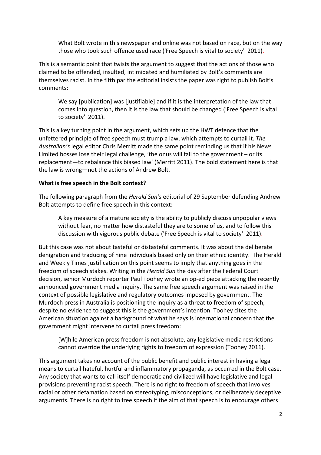What Bolt wrote in this newspaper and online was not based on race, but on the way those who took such offence used race ('Free Speech is vital to society' 2011).

This is a semantic point that twists the argument to suggest that the actions of those who claimed to be offended, insulted, intimidated and humiliated by Bolt's comments are themselves racist. In the fifth par the editorial insists the paper was right to publish Bolt's comments:

We say [publication] was [justifiable] and if it is the interpretation of the law that comes into question, then it is the law that should be changed ('Free Speech is vital to society' 2011).

This is a key turning point in the argument, which sets up the HWT defence that the unfettered principle of free speech must trump a law, which attempts to curtail it. The Australian's legal editor Chris Merritt made the same point reminding us that if his News Limited bosses lose their legal challenge, 'the onus will fall to the government – or its replacement—to rebalance this biased law' (Merritt 2011). The bold statement here is that the law is wrong—not the actions of Andrew Bolt.

#### **What is free speech in the Bolt context?**

The following paragraph from the *Herald Sun's* editorial of 29 September defending Andrew Bolt attempts to define free speech in this context:

A key measure of a mature society is the ability to publicly discuss unpopular views without fear, no matter how distasteful they are to some of us, and to follow this discussion with vigorous public debate ('Free Speech is vital to society' 2011).

But this case was not about tasteful or distasteful comments. It was about the deliberate denigration and traducing of nine individuals based only on their ethnic identity. The Herald and Weekly Times justification on this point seems to imply that anything goes in the freedom of speech stakes. Writing in the *Herald Sun* the day after the Federal Court decision, senior Murdoch reporter Paul Toohey wrote an op-ed piece attacking the recently announced government media inquiry. The same free speech argument was raised in the context of possible legislative and regulatory outcomes imposed by government. The Murdoch press in Australia is positioning the inquiry as a threat to freedom of speech, despite no evidence to suggest this is the government's intention. Toohey cites the American situation against a background of what he says is international concern that the government might intervene to curtail press freedom:

[W]hile American press freedom is not absolute, any legislative media restrictions cannot override the underlying rights to freedom of expression (Toohey 2011).

This argument takes no account of the public benefit and public interest in having a legal means to curtail hateful, hurtful and inflammatory propaganda, as occurred in the Bolt case. Any society that wants to call itself democratic and civilized will have legislative and legal provisions preventing racist speech. There is no right to freedom of speech that involves racial or other defamation based on stereotyping, misconceptions, or deliberately deceptive arguments. There is no right to free speech if the aim of that speech is to encourage others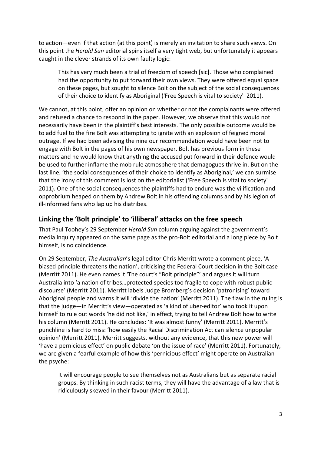to action—even if that action (at this point) is merely an invitation to share such views. On this point the *Herald Sun* editorial spins itself a very tight web, but unfortunately it appears caught in the clever strands of its own faulty logic:

This has very much been a trial of freedom of speech [sic]. Those who complained had the opportunity to put forward their own views. They were offered equal space on these pages, but sought to silence Bolt on the subject of the social consequences of their choice to identify as Aboriginal ('Free Speech is vital to society' 2011).

We cannot, at this point, offer an opinion on whether or not the complainants were offered and refused a chance to respond in the paper. However, we observe that this would not necessarily have been in the plaintiff's best interests. The only possible outcome would be to add fuel to the fire Bolt was attempting to ignite with an explosion of feigned moral outrage. If we had been advising the nine our recommendation would have been not to engage with Bolt in the pages of his own newspaper. Bolt has previous form in these matters and he would know that anything the accused put forward in their defence would be used to further inflame the mob rule atmosphere that demagogues thrive in. But on the last line, 'the social consequences of their choice to identify as Aboriginal,' we can surmise that the irony of this comment is lost on the editorialist ('Free Speech is vital to society' 2011). One of the social consequences the plaintiffs had to endure was the vilification and opprobrium heaped on them by Andrew Bolt in his offending columns and by his legion of ill-informed fans who lap up his diatribes.

# Linking the 'Bolt principle' to 'illiberal' attacks on the free speech

That Paul Toohey's 29 September *Herald Sun* column arguing against the government's media inquiry appeared on the same page as the pro-Bolt editorial and a long piece by Bolt himself, is no coincidence.

On 29 September, *The Australian's* legal editor Chris Merritt wrote a comment piece, 'A biased principle threatens the nation', criticising the Federal Court decision in the Bolt case (Merritt 2011). He even names it 'The court's "Bolt principle"' and argues it will turn Australia into 'a nation of tribes...protected species too fragile to cope with robust public discourse' (Merritt 2011). Merritt labels Judge Bromberg's decision 'patronising' toward Aboriginal people and warns it will 'divide the nation' (Merritt 2011). The flaw in the ruling is that the judge—in Merritt's view—operated as 'a kind of uber-editor' who took it upon himself to rule out words 'he did not like,' in effect, trying to tell Andrew Bolt how to write his column (Merritt 2011). He concludes: 'It was almost funny' (Merritt 2011). Merritt's punchline is hard to miss: 'how easily the Racial Discrimination Act can silence unpopular opinion' (Merritt 2011). Merritt suggests, without any evidence, that this new power will 'have a pernicious effect' on public debate 'on the issue of race' (Merritt 2011). Fortunately, we are given a fearful example of how this 'pernicious effect' might operate on Australian the psyche:

It will encourage people to see themselves not as Australians but as separate racial groups. By thinking in such racist terms, they will have the advantage of a law that is ridiculously skewed in their favour (Merritt 2011).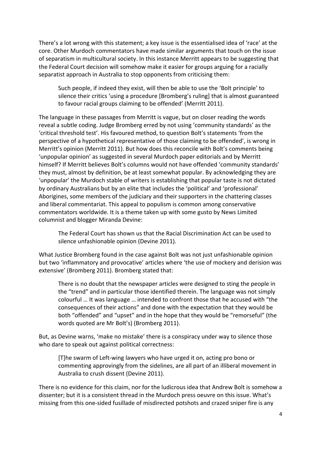There's a lot wrong with this statement; a key issue is the essentialised idea of 'race' at the core. Other Murdoch commentators have made similar arguments that touch on the issue of separatism in multicultural society. In this instance Merritt appears to be suggesting that the Federal Court decision will somehow make it easier for groups arguing for a racially separatist approach in Australia to stop opponents from criticising them:

Such people, if indeed they exist, will then be able to use the 'Bolt principle' to silence their critics 'using a procedure [Bromberg's ruling] that is almost guaranteed to favour racial groups claiming to be offended' (Merritt 2011).

The language in these passages from Merritt is vague, but on closer reading the words reveal a subtle coding. Judge Bromberg erred by not using 'community standards' as the 'critical threshold test'. His favoured method, to question Bolt's statements 'from the perspective of a hypothetical representative of those claiming to be offended', is wrong in Merritt's opinion (Merritt 2011). But how does this reconcile with Bolt's comments being 'unpopular opinion' as suggested in several Murdoch paper editorials and by Merritt himself? If Merritt believes Bolt's columns would not have offended 'community standards' they must, almost by definition, be at least somewhat popular. By acknowledging they are 'unpopular' the Murdoch stable of writers is establishing that popular taste is not dictated by ordinary Australians but by an elite that includes the 'political' and 'professional' Aborigines, some members of the judiciary and their supporters in the chattering classes and liberal commentariat. This appeal to populism is common among conservative commentators worldwide. It is a theme taken up with some gusto by News Limited columnist and blogger Miranda Devine:

The Federal Court has shown us that the Racial Discrimination Act can be used to silence unfashionable opinion (Devine 2011).

What Justice Bromberg found in the case against Bolt was not just unfashionable opinion but two 'inflammatory and provocative' articles where 'the use of mockery and derision was extensive' (Bromberg 2011). Bromberg stated that:

There is no doubt that the newspaper articles were designed to sting the people in the "trend" and in particular those identified therein. The language was not simply colourful ... It was language ... intended to confront those that he accused with "the" consequences of their actions" and done with the expectation that they would be both "offended" and "upset" and in the hope that they would be "remorseful" (the words quoted are Mr Bolt's) (Bromberg 2011).

But, as Devine warns, 'make no mistake' there is a conspiracy under way to silence those who dare to speak out against political correctness:

[T]he swarm of Left-wing lawyers who have urged it on, acting pro bono or" commenting approvingly from the sidelines, are all part of an illiberal movement in Australia to crush dissent (Devine 2011).

There is no evidence for this claim, nor for the ludicrous idea that Andrew Bolt is somehow a dissenter; but it is a consistent thread in the Murdoch press oeuvre on this issue. What's missing from this one-sided fusillade of misdirected potshots and crazed sniper fire is any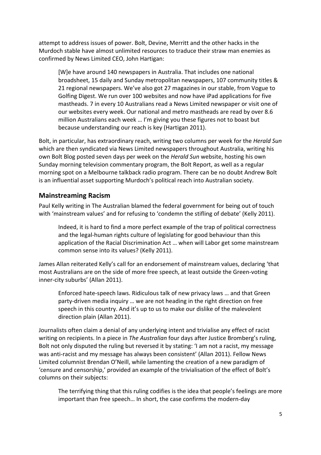attempt to address issues of power. Bolt, Devine, Merritt and the other hacks in the Murdoch stable have almost unlimited resources to traduce their straw man enemies as confirmed by News Limited CEO, John Hartigan:

[W]e have around 140 newspapers in Australia. That includes one national broadsheet, 15 daily and Sunday metropolitan newspapers, 107 community titles & 21 regional newspapers. We've also got 27 magazines in our stable, from Vogue to Golfing Digest. We run over 100 websites and now have iPad applications for five mastheads. 7 in every 10 Australians read a News Limited newspaper or visit one of our websites every week. Our national and metro mastheads are read by over 8.6 million Australians each week ... I'm giving you these figures not to boast but because understanding our reach is key (Hartigan 2011).

Bolt, in particular, has extraordinary reach, writing two columns per week for the *Herald Sun* which are then syndicated via News Limited newspapers throughout Australia, writing his own Bolt Blog posted seven days per week on the *Herald Sun* website, hosting his own Sunday morning television commentary program, the Bolt Report, as well as a regular morning spot on a Melbourne talkback radio program. There can be no doubt Andrew Bolt is an influential asset supporting Murdoch's political reach into Australian society.

#### **Mainstreaming#Racism**

Paul Kelly writing in The Australian blamed the federal government for being out of touch with 'mainstream values' and for refusing to 'condemn the stifling of debate' (Kelly 2011).

Indeed, it is hard to find a more perfect example of the trap of political correctness and the legal-human rights culture of legislating for good behaviour than this application of the Racial Discrimination Act ... when will Labor get some mainstream common sense into its values? (Kelly 2011).

James Allan reiterated Kelly's call for an endorsement of mainstream values, declaring 'that most Australians are on the side of more free speech, at least outside the Green-voting inner-city suburbs' (Allan 2011).

Enforced hate-speech laws. Ridiculous talk of new privacy laws ... and that Green party-driven media inquiry ... we are not heading in the right direction on free speech in this country. And it's up to us to make our dislike of the malevolent direction plain (Allan 2011).

Journalists often claim a denial of any underlying intent and trivialise any effect of racist writing on recipients. In a piece in The Australian four days after Justice Bromberg's ruling, Bolt not only disputed the ruling but reversed it by stating: 'I am not a racist, my message was anti-racist and my message has always been consistent' (Allan 2011). Fellow News Limited columnist Brendan O'Neill, while lamenting the creation of a new paradigm of 'censure and censorship,' provided an example of the trivialisation of the effect of Bolt's columns on their subjects:

The terrifying thing that this ruling codifies is the idea that people's feelings are more important than free speech... In short, the case confirms the modern-day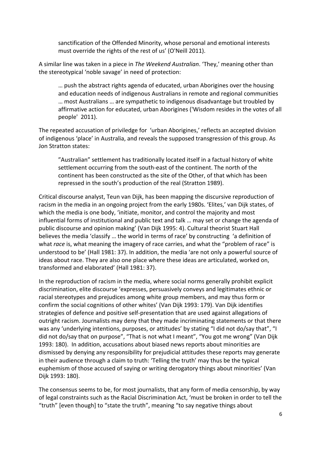sanctification of the Offended Minority, whose personal and emotional interests must override the rights of the rest of us' (O'Neill 2011).

A similar line was taken in a piece in The Weekend Australian. 'They,' meaning other than the stereotypical 'noble savage' in need of protection:

... push the abstract rights agenda of educated, urban Aborigines over the housing and education needs of indigenous Australians in remote and regional communities … most Australians ... are sympathetic to indigenous disadvantage but troubled by affirmative action for educated, urban Aborigines ('Wisdom resides in the votes of all people' 2011).

The repeated accusation of priviledge for 'urban Aborigines,' reflects an accepted division of indigenous 'place' in Australia, and reveals the supposed transgression of this group. As Jon Stratton states:

"Australian" settlement has traditionally located itself in a factual history of white settlement occurring from the south-east of the continent. The north of the continent has been constructed as the site of the Other, of that which has been repressed in the south's production of the real (Stratton 1989).

Critical discourse analyst, Teun van Dijk, has been mapping the discursive reproduction of racism in the media in an ongoing project from the early 1980s. 'Elites,' van Dijk states, of which the media is one body, 'initiate, monitor, and control the majority and most influential forms of institutional and public text and talk ... may set or change the agenda of public discourse and opinion making' (Van Dijk 1995: 4). Cultural theorist Stuart Hall believes the media 'classify ... the world in terms of race' by constructing 'a definition of what *race* is, what meaning the imagery of race carries, and what the "problem of race" is understood to be' (Hall 1981: 37). In addition, the media 'are not only a powerful source of ideas about race. They are also one place where these ideas are articulated, worked on, transformed and elaborated' (Hall 1981: 37).

In the reproduction of racism in the media, where social norms generally prohibit explicit discrimination, elite discourse 'expresses, persuasively conveys and legitimates ethnic or racial stereotypes and prejudices among white group members, and may thus form or confirm the social cognitions of other whites' (Van Dijk 1993: 179). Van Dijk identifies strategies of defence and positive self-presentation that are used against allegations of outright racism. Journalists may deny that they made incriminating statements or that there was any 'underlying intentions, purposes, or attitudes' by stating "I did not do/say that", "I did not do/say that on purpose", "That is not what I meant", "You got me wrong" (Van Dijk 1993: 180). In addition, accusations about biased news reports about minorities are dismissed by denying any responsibility for prejudicial attitudes these reports may generate in their audience through a claim to truth: 'Telling the truth' may thus be the typical euphemism of those accused of saying or writing derogatory things about minorities' (Van Dijk 1993: 180).

The consensus seems to be, for most journalists, that any form of media censorship, by way of legal constraints such as the Racial Discrimination Act, 'must be broken in order to tell the "truth" [even though] to "state the truth", meaning "to say negative things about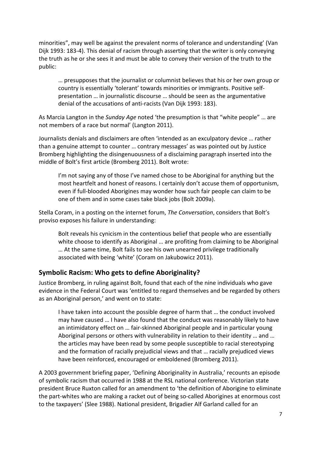minorities", may well be against the prevalent norms of tolerance and understanding' (Van Dijk 1993: 183-4). This denial of racism through asserting that the writer is only conveying the truth as he or she sees it and must be able to convey their version of the truth to the public:

… presupposes that the journalist or columnist believes that his or her own group or country is essentially 'tolerant' towards minorities or immigrants. Positive selfpresentation ... in journalistic discourse ... should be seen as the argumentative denial of the accusations of anti-racists (Van Dijk 1993: 183).

As Marcia Langton in the *Sunday Age* noted 'the presumption is that "white people" ... are not members of a race but normal' (Langton 2011).

Journalists denials and disclaimers are often 'intended as an exculpatory device ... rather than a genuine attempt to counter ... contrary messages' as was pointed out by Justice Bromberg highlighting the disingenuousness of a disclaiming paragraph inserted into the middle of Bolt's first article (Bromberg 2011). Bolt wrote:

I'm not saying any of those I've named chose to be Aboriginal for anything but the most heartfelt and honest of reasons. I certainly don't accuse them of opportunism, even if full-blooded Aborigines may wonder how such fair people can claim to be one of them and in some cases take black jobs (Bolt 2009a).

Stella Coram, in a posting on the internet forum, The Conversation, considers that Bolt's proviso exposes his failure in understanding:

Bolt reveals his cynicism in the contentious belief that people who are essentially white choose to identify as Aboriginal ... are profiting from claiming to be Aboriginal ... At the same time, Bolt fails to see his own unearned privilege traditionally associated with being 'white' (Coram on Jakubowicz 2011).

### Symbolic Racism: Who gets to define Aboriginality?

Justice Bromberg, in ruling against Bolt, found that each of the nine individuals who gave evidence in the Federal Court was 'entitled to regard themselves and be regarded by others as an Aboriginal person,' and went on to state:

I have taken into account the possible degree of harm that ... the conduct involved may have caused ... I have also found that the conduct was reasonably likely to have an intimidatory effect on ... fair-skinned Aboriginal people and in particular young Aboriginal persons or others with vulnerability in relation to their identity ... and ... the articles may have been read by some people susceptible to racial stereotyping and the formation of racially prejudicial views and that ... racially prejudiced views have been reinforced, encouraged or emboldened (Bromberg 2011).

A 2003 government briefing paper, 'Defining Aboriginality in Australia,' recounts an episode of symbolic racism that occurred in 1988 at the RSL national conference. Victorian state president Bruce Ruxton called for an amendment to 'the definition of Aborigine to eliminate the part-whites who are making a racket out of being so-called Aborigines at enormous cost to the taxpayers' (Slee 1988). National president, Brigadier Alf Garland called for an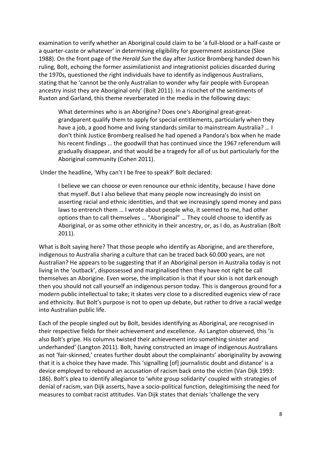examination to verify whether an Aboriginal could claim to be 'a full-blood or a half-caste or a quarter-caste or whatever' in determining eligibility for government assistance (Slee 1988). On the front page of the *Herald Sun* the day after Justice Bromberg handed down his ruling, Bolt, echoing the former assimilationist and integrationist policies discarded during the 1970s, questioned the right individuals have to identify as indigenous Australians, stating that he 'cannot be the only Australian to wonder why fair people with European ancestry insist they are Aboriginal only' (Bolt 2011). In a ricochet of the sentiments of Ruxton and Garland, this theme reverberated in the media in the following days:

What determines who is an Aborigine? Does one's Aboriginal great-greatgrandparent qualify them to apply for special entitlements, particularly when they have a job, a good home and living standards similar to mainstream Australia? ... I don't think Justice Bromberg realised he had opened a Pandora's box when he made his recent findings ... the goodwill that has continued since the 1967 referendum will gradually disappear, and that would be a tragedy for all of us but particularly for the Aboriginal community (Cohen 2011).

Under the headline, 'Why can't I be free to speak?' Bolt declared:

I believe we can choose or even renounce our ethnic identity, because I have done that myself. But I also believe that many people now increasingly do insist on asserting racial and ethnic identities, and that we increasingly spend money and pass laws to entrench them ... I wrote about people who, it seemed to me, had other options than to call themselves ... "Aboriginal" ... They could choose to identify as Aboriginal, or as some other ethnicity in their ancestry, or, as I do, as Australian (Bolt 2011).

What is Bolt saying here? That those people who identify as Aborigine, and are therefore, indigenous to Australia sharing a culture that can be traced back 60.000 years, are not Australian? He appears to be suggesting that if an Aboriginal person in Australia today is not living in the 'outback', dispossessed and marginalised then they have not right be call themselves an Aborigine. Even worse, the implication is that if your skin is not dark enough then you should not call yourself an indigenous person today. This is dangerous ground for a modern public intellectual to take; it skates very close to a discredited eugenics view of race and ethnicity. But Bolt's purpose is not to open up debate, but rather to drive a racial wedge into Australian public life.

Each of the people singled out by Bolt, besides identifying as Aboriginal, are recognised in their respective fields for their achievement and excellence. As Langton observed, this 'is" also Bolt's gripe. His columns twisted their achievement into something sinister and underhanded' (Langton 2011). Bolt, having constructed an image of indigenous Australians as not 'fair-skinned,' creates further doubt about the complainants' aboriginality by avowing that it is a choice they have made. This 'signalling [of] journalistic doubt and distance' is a device employed to rebound an accusation of racism back onto the victim (Van Dijk 1993: 186). Bolt's plea to identify allegiance to 'white group solidarity' coupled with strategies of denial of racism, van Dijk asserts, have a socio-political function, delegitimising the need for measures to combat racist attitudes. Van Dijk states that denials 'challenge the very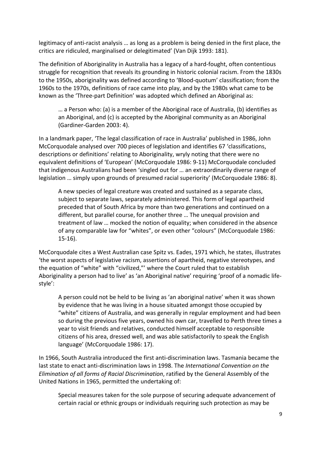legitimacy of anti-racist analysis ... as long as a problem is being denied in the first place, the critics are ridiculed, marginalised or delegitimated' (Van Dijk 1993: 181).

The definition of Aboriginality in Australia has a legacy of a hard-fought, often contentious struggle for recognition that reveals its grounding in historic colonial racism. From the 1830s to the 1950s, aboriginality was defined according to 'Blood-quotum' classification; from the 1960s to the 1970s, definitions of race came into play, and by the 1980s what came to be known as the 'Three-part Definition' was adopted which defined an Aboriginal as:

... a Person who: (a) is a member of the Aboriginal race of Australia, (b) identifies as an Aboriginal, and (c) is accepted by the Aboriginal community as an Aboriginal (Gardiner-Garden 2003: 4).

In a landmark paper, 'The legal classification of race in Australia' published in 1986, John McCorquodale analysed over 700 pieces of legislation and identifies 67 'classifications, descriptions or definitions' relating to Aboriginality, wryly noting that there were no equivalent definitions of 'European' (McCorquodale 1986: 9-11) McCorquodale concluded that indigenous Australians had been 'singled out for ... an extraordinarily diverse range of legislation ... simply upon grounds of presumed racial superiority' (McCorquodale 1986: 8).

A new species of legal creature was created and sustained as a separate class, subject to separate laws, separately administered. This form of legal apartheid preceded that of South Africa by more than two generations and continued on a different, but parallel course, for another three ... The unequal provision and treatment of law ... mocked the notion of equality; when considered in the absence of any comparable law for "whites", or even other "colours" (McCorquodale 1986:  $15-16$ ).

McCorquodale cites a West Australian case Spitz vs. Eades, 1971 which, he states, illustrates 'the worst aspects of legislative racism, assertions of apartheid, negative stereotypes, and the equation of "white" with "civilized,"' where the Court ruled that to establish Aboriginality a person had to live' as 'an Aboriginal native' requiring 'proof of a nomadic lifestyle':

A person could not be held to be living as 'an aboriginal native' when it was shown by evidence that he was living in a house situated amongst those occupied by "white" citizens of Australia, and was generally in regular employment and had been so during the previous five years, owned his own car, travelled to Perth three times a year to visit friends and relatives, conducted himself acceptable to responsible citizens of his area, dressed well, and was able satisfactorily to speak the English language' (McCorquodale 1986: 17).

In 1966, South Australia introduced the first anti-discrimination laws. Tasmania became the last state to enact anti-discrimination laws in 1998. The *International Convention on the Elimination of all forms of Racial Discrimination*, ratified by the General Assembly of the United Nations in 1965, permitted the undertaking of:

Special measures taken for the sole purpose of securing adequate advancement of certain racial or ethnic groups or individuals requiring such protection as may be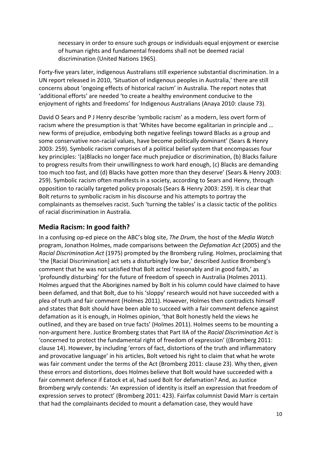necessary in order to ensure such groups or individuals equal enjoyment or exercise of human rights and fundamental freedoms shall not be deemed racial discrimination (United Nations 1965).

Forty-five years later, indigenous Australians still experience substantial discrimination. In a UN report released in 2010, 'Situation of indigenous peoples in Australia,' there are still concerns about 'ongoing effects of historical racism' in Australia. The report notes that 'additional efforts' are needed 'to create a healthy environment conducive to the enjoyment of rights and freedoms' for Indigenous Australians (Anaya 2010: clause 73).

David O Sears and P J Henry describe 'symbolic racism' as a modern, less overt form of racism where the presumption is that 'Whites have become egalitarian in principle and ... new forms of prejudice, embodying both negative feelings toward Blacks as a group and some conservative non-racial values, have become politically dominant' (Sears & Henry 2003: 259). Symbolic racism comprises of a political belief system that encompasses four key principles: '(a)Blacks no longer face much prejudice or discrimination, (b) Blacks failure to progress results from their unwillingness to work hard enough, (c) Blacks are demanding too much too fast, and (d) Blacks have gotten more than they deserve' (Sears & Henry 2003: 259). Symbolic racism often manifests in a society, according to Sears and Henry, through opposition to racially targeted policy proposals (Sears & Henry 2003: 259). It is clear that Bolt returns to symbolic racism in his discourse and his attempts to portray the complainants as themselves racist. Such 'turning the tables' is a classic tactic of the politics of racial discrimination in Australia.

## **Media Racism: In good faith?**

In a confusing op-ed piece on the ABC's blog site, The Drum, the host of the *Media Watch* program, Jonathon Holmes, made comparisons between the *Defamation Act* (2005) and the *Racial Discrimination Act* (1975) prompted by the Bromberg ruling. Holmes, proclaiming that 'the [Racial Discrimination] act sets a disturbingly low bar,' described Justice Bromberg's comment that he was not satisfied that Bolt acted 'reasonably and in good faith,' as 'profoundly disturbing' for the future of freedom of speech in Australia (Holmes 2011). Holmes argued that the Aborigines named by Bolt in his column could have claimed to have been defamed, and that Bolt, due to his 'sloppy' research would not have succeeded with a plea of truth and fair comment (Holmes 2011). However, Holmes then contradicts himself and states that Bolt should have been able to succeed with a fair comment defence against defamation as it is enough, in Holmes opinion, 'that Bolt honestly held the views he outlined, and they are based on true facts' (Holmes 2011). Holmes seems to be mounting a non-argument here. Justice Bromberg states that Part IIA of the *Racial Discrimination Act* is 'concerned to protect the fundamental right of freedom of expression' ((Bromberg 2011: clause 14). However, by including 'errors of fact, distortions of the truth and inflammatory and provocative language' in his articles, Bolt vetoed his right to claim that what he wrote was fair comment under the terms of the Act (Bromberg 2011: clause 23). Why then, given these errors and distortions, does Holmes believe that Bolt would have succeeded with a fair comment defence if Eatock et al, had sued Bolt for defamation? And, as Justice Bromberg wryly contends: 'An expression of identity is itself an expression that freedom of expression serves to protect' (Bromberg 2011: 423). Fairfax columnist David Marr is certain that had the complainants decided to mount a defamation case, they would have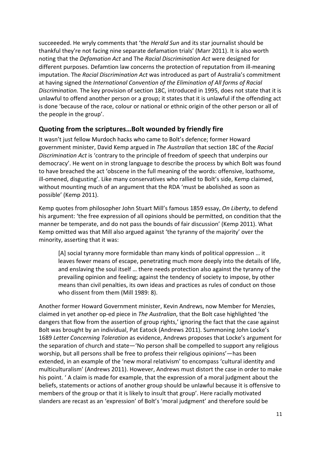succeeeded. He wryly comments that 'the *Herald Sun* and its star journalist should be thankful they're not facing nine separate defamation trials' (Marr 2011). It is also worth noting"that"the"*Defamation'Act* and"The"*Racial'Discrimination'Act* were"designed"for" different purposes. Defamtion law concerns the protection of reputation from ill-meaning imputation. The *Racial Discrimination Act* was introduced as part of Australia's commitment at having signed the *International Convention of the Elimination of All forms of Racial Discrimination.* The key provision of section 18C, introduced in 1995, does not state that it is unlawful to offend another person or a group; it states that it is unlawful if the offending act is done 'because of the race, colour or national or ethnic origin of the other person or all of the people in the group'.

# **Quoting from the scriptures...Bolt wounded by friendly fire**

It wasn't just fellow Murdoch hacks who came to Bolt's defence; former Howard government minister, David Kemp argued in The Australian that section 18C of the Racial *Discrimination Act* is 'contrary to the principle of freedom of speech that underpins our democracy'. He went on in strong language to describe the process by which Bolt was found to have breached the act 'obscene in the full meaning of the words: offensive, loathsome, ill-omened, disgusting'. Like many conservatives who rallied to Bolt's side, Kemp claimed, without mounting much of an argument that the RDA 'must be abolished as soon as possible' (Kemp 2011).

Kemp quotes from philosopher John Stuart Mill's famous 1859 essay, On Liberty, to defend his argument: 'the free expression of all opinions should be permitted, on condition that the manner be temperate, and do not pass the bounds of fair discussion' (Kemp 2011). What Kemp omitted was that Mill also argued against 'the tyranny of the majority' over the minority, asserting that it was:

[A] social tyranny more formidable than many kinds of political oppression ... it" leaves fewer means of escape, penetrating much more deeply into the details of life, and enslaving the soul itself ... there needs protection also against the tyranny of the prevailing opinion and feeling; against the tendency of society to impose, by other means than civil penalties, its own ideas and practices as rules of conduct on those who dissent from them (Mill 1989: 8).

Another former Howard Government minister, Kevin Andrews, now Member for Menzies, claimed in yet another op-ed piece in *The Australian*, that the Bolt case highlighted 'the dangers that flow from the assertion of group rights,' ignoring the fact that the case against Bolt was brought by an individual, Pat Eatock (Andrews 2011). Summoning John Locke's 1689 Letter Concerning Toleration as evidence, Andrews proposes that Locke's argument for the separation of church and state—'No person shall be compelled to support any religious worship, but all persons shall be free to profess their religious opinions'—has been extended, in an example of the 'new moral relativism' to encompass 'cultural identity and multiculturalism' (Andrews 2011). However, Andrews must distort the case in order to make his point. ' A claim is made for example, that the expression of a moral judgment about the beliefs, statements or actions of another group should be unlawful because it is offensive to members of the group or that it is likely to insult that group'. Here racially motivated slanders are recast as an 'expression' of Bolt's 'moral judgment' and therefore sould be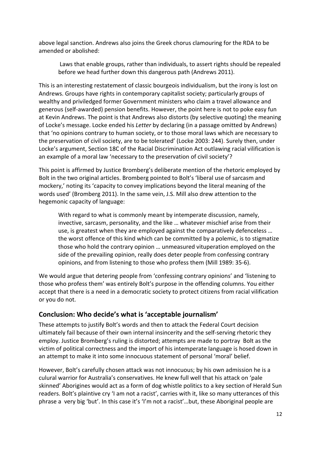above legal sanction. Andrews also joins the Greek chorus clamouring for the RDA to be amended or abolished:

Laws that enable groups, rather than individuals, to assert rights should be repealed before we head further down this dangerous path (Andrews 2011).

This is an interesting restatement of classic bourgeois individualism, but the irony is lost on Andrews. Groups have rights in contemporary capitalist society; particularly groups of wealthy and priviledged former Government ministers who claim a travel allowance and generous (self-awarded) pension benefits. However, the point here is not to poke easy fun at Kevin Andrews. The point is that Andrews also distorts (by selective quoting) the meaning of Locke's message. Locke ended his *Letter* by declaring (in a passage omitted by Andrews) that 'no opinions contrary to human society, or to those moral laws which are necessary to the preservation of civil society, are to be tolerated' (Locke 2003: 244). Surely then, under Locke's argument, Section 18C of the Racial Discrimination Act outlawing racial vilification is an example of a moral law 'necessary to the preservation of civil society'?

This point is affirmed by Justice Bromberg's deliberate mention of the rhetoric employed by Bolt in the two original articles. Bromberg pointed to Bolt's 'liberal use of sarcasm and mockery,' noting its 'capacity to convey implications beyond the literal meaning of the words used' (Bromberg 2011). In the same vein, J.S. Mill also drew attention to the hegemonic capacity of language:

With regard to what is commonly meant by intemperate discussion, namely, invective, sarcasm, personality, and the like ... whatever mischief arise from their use, is greatest when they are employed against the comparatively defenceless ... the worst offence of this kind which can be committed by a polemic, is to stigmatize those who hold the contrary opinion ... unmeasured vituperation employed on the side of the prevailing opinion, really does deter people from confessing contrary opinions, and from listening to those who profess them (Mill 1989: 35-6).

We would argue that detering people from 'confessing contrary opinions' and 'listening to" those who profess them' was entirely Bolt's purpose in the offending columns. You either accept that there is a need in a democratic society to protect citizens from racial vilification or you do not.

# Conclusion: Who decide's what is 'acceptable journalism'

These attempts to justify Bolt's words and then to attack the Federal Court decision ultimately fail because of their own internal insincerity and the self-serving rhetoric they employ. Justice Bromberg's ruling is distorted; attempts are made to portray Bolt as the victim of political correctness and the import of his intemperate language is hosed down in an attempt to make it into some innocuous statement of personal 'moral' belief.

However, Bolt's carefully chosen attack was not innocuous; by his own admission he is a culural warrior for Australia's conservatives. He knew full well that his attack on 'pale skinned' Aborigines would act as a form of dog whistle politics to a key section of Herald Sun readers. Bolt's plaintive cry 'I am not a racist', carries with it, like so many utterances of this phrase a very big 'but'. In this case it's 'I'm not a racist'...but, these Aboriginal people are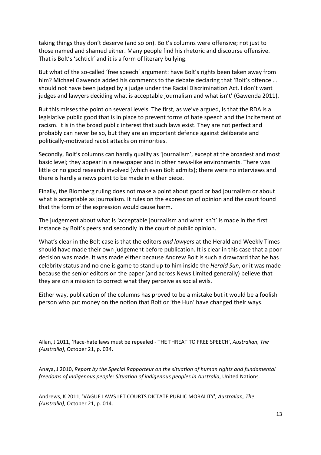taking things they don't deserve (and so on). Bolt's columns were offensive; not just to those named and shamed either. Many people find his rhetoric and discourse offensive. That is Bolt's 'schtick' and it is a form of literary bullying.

But what of the so-called 'free speech' argument: have Bolt's rights been taken away from him? Michael Gawenda added his comments to the debate declaring that 'Bolt's offence ... should not have been judged by a judge under the Racial Discrimination Act. I don't want judges and lawyers deciding what is acceptable journalism and what isn't' (Gawenda 2011).

But this misses the point on several levels. The first, as we've argued, is that the RDA is a legislative public good that is in place to prevent forms of hate speech and the incitement of racism. It is in the broad public interest that such laws exist. They are not perfect and probably can never be so, but they are an important defence against deliberate and politically-motivated racist attacks on minorities.

Secondly, Bolt's columns can hardly qualify as 'journalism', except at the broadest and most basic level; they appear in a newspaper and in other news-like environments. There was little or no good research involved (which even Bolt admits); there were no interviews and there is hardly a news point to be made in either piece.

Finally, the Blomberg ruling does not make a point about good or bad journalism or about what is acceptable as journalism. It rules on the expression of opinion and the court found that the form of the expression would cause harm.

The judgement about what is 'acceptable journalism and what isn't' is made in the first instance by Bolt's peers and secondly in the court of public opinion.

What's clear in the Bolt case is that the editors *and lawyers* at the Herald and Weekly Times should have made their own judgement before publication. It is clear in this case that a poor decision was made. It was made either because Andrew Bolt is such a drawcard that he has celebrity status and no one is game to stand up to him inside the *Herald Sun*, or it was made because the senior editors on the paper (and across News Limited generally) believe that they are on a mission to correct what they perceive as social evils.

Either way, publication of the columns has proved to be a mistake but it would be a foolish person who put money on the notion that Bolt or 'the Hun' have changed their ways.

Allan, J 2011, 'Race-hate laws must be repealed - THE THREAT TO FREE SPEECH', Australian, The *(Australia)*, October 21, p. 034.

Anaya,"J"2010,"*Report'by'the'Special'Rapporteur'on'the'situation'of'human'rights'and'fundamental'* freedoms of indigenous people: Situation of indigenous peoples in Australia, United Nations.

Andrews, K 2011, 'VAGUE LAWS LET COURTS DICTATE PUBLIC MORALITY', *Australian, The (Australia)*, October 21, p. 014.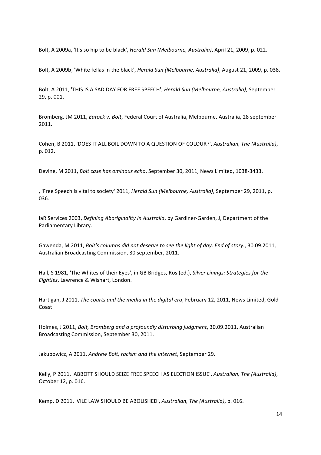Bolt, A 2009a, 'It's so hip to be black', *Herald Sun (Melbourne, Australia)*, April 21, 2009, p. 022.

Bolt, A 2009b, 'White fellas in the black', *Herald Sun (Melbourne, Australia)*, August 21, 2009, p. 038.

Bolt, A 2011, 'THIS IS A SAD DAY FOR FREE SPEECH', *Herald Sun (Melbourne, Australia)*, September 29, p. 001.

Bromberg, JM 2011, *Eatock v. Bolt*, Federal Court of Australia, Melbourne, Australia, 28 september 2011.

Cohen, B 2011, 'DOES IT ALL BOIL DOWN TO A QUESTION OF COLOUR?', *Australian, The (Australia)*, p. 012.

Devine, M 2011, *Bolt case has ominous echo*, September 30, 2011, News Limited, 1038-3433.

, 'Free Speech is vital to society' 2011, *Herald Sun (Melbourne, Australia)*, September 29, 2011, p. 036.

IaR Services 2003, *Defining Aboriginality in Australia*, by Gardiner-Garden, J, Department of the Parliamentary Library.

Gawenda, M 2011, Bolt's columns did not deserve to see the light of day. End of story., 30.09.2011, Australian Broadcasting Commission, 30 september, 2011.

Hall, S 1981, 'The Whites of their Eyes', in GB Bridges, Ros (ed.), Silver Linings: Strategies for the *Eighties*, Lawrence & Wishart, London.

Hartigan, J 2011, *The courts and the media in the digital era*, February 12, 2011, News Limited, Gold Coast.

Holmes, J 2011, *Bolt, Bromberg and a profoundly disturbing judgment*, 30.09.2011, Australian Broadcasting Commission, September 30, 2011.

Jakubowicz, A 2011, Andrew Bolt, racism and the internet, September 29.

Kelly, P 2011, 'ABBOTT SHOULD SEIZE FREE SPEECH AS ELECTION ISSUE', *Australian, The (Australia)*, October 12, p. 016.

Kemp, D 2011, 'VILE LAW SHOULD BE ABOLISHED', *Australian, The (Australia)*, p. 016.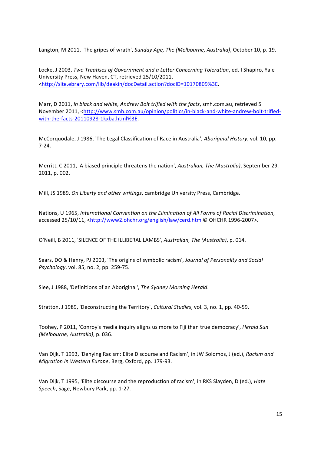Langton, M 2011, 'The gripes of wrath', Sunday Age, The (Melbourne, Australia), October 10, p. 19.

Locke, J 2003, Two Treatises of Government and a Letter Concerning Toleration, ed. I Shapiro, Yale University Press, New Haven, CT, retrieved 25/10/2011, <http://site.ebrary.com/lib/deakin/docDetail.action?docID=10170809%3E.

Marr, D 2011, *In black and white, Andrew Bolt trifled with the facts*, smh.com.au, retrieved 5 November 2011, <http://www.smh.com.au/opinion/politics/in-black-and-white-andrew-bolt-trifledwith-the-facts-20110928-1kxba.html%3E.

McCorquodale, J 1986, 'The Legal Classification of Race in Australia', Aboriginal History, vol. 10, pp.  $7-24.$ 

Merritt, C 2011, 'A biased principle threatens the nation', *Australian, The (Australia)*, September 29, 2011, p. 002.

Mill, JS 1989, *On Liberty and other writings*, cambridge University Press, Cambridge.

Nations, U 1965, International Convention on the Elimination of All Forms of Racial Discrimination, accessed 25/10/11, <http://www2.ohchr.org/english/law/cerd.htm © OHCHR 1996-2007>.

O'Neill, B 2011, 'SILENCE OF THE ILLIBERAL LAMBS', *Australian*, The (Australia), p. 014.

Sears, DO & Henry, PJ 2003, 'The origins of symbolic racism', *Journal of Personality and Social Psychology*, vol. 85, no. 2, pp. 259-75.

Slee, J 1988, 'Definitions of an Aboriginal', The Sydney Morning Herald.

Stratton, J 1989, 'Deconstructing the Territory', *Cultural Studies*, vol. 3, no. 1, pp. 40-59.

Toohey, P 2011, 'Conroy's media inquiry aligns us more to Fiji than true democracy', *Herald Sun (Melbourne, Australia)*, p. 036.

Van Dijk, T 1993, 'Denying Racism: Elite Discourse and Racism', in JW Solomos, J (ed.), *Racism and Migration in Western Europe, Berg, Oxford, pp. 179-93.* 

Van Dijk, T 1995, 'Elite discourse and the reproduction of racism', in RKS Slayden, D (ed.), *Hate Speech*, Sage, Newbury Park, pp. 1-27.